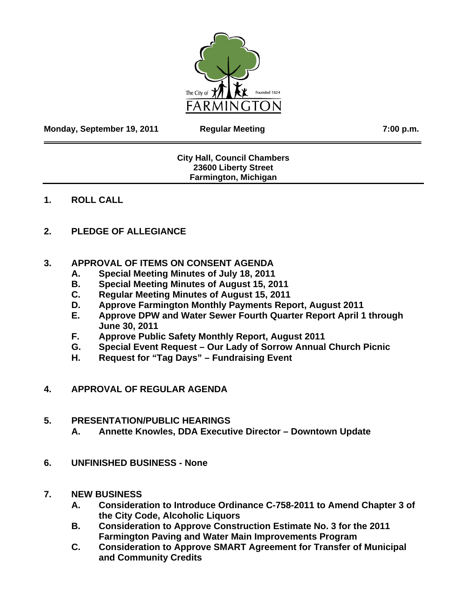

**Monday, September 19, 2011 Regular Meeting 7:00 p.m.** 

## **City Hall, Council Chambers 23600 Liberty Street Farmington, Michigan**

## **1. ROLL CALL**

# **2. PLEDGE OF ALLEGIANCE**

## **3. APPROVAL OF ITEMS ON CONSENT AGENDA**

- **A. Special Meeting Minutes of July 18, 2011**
- **B. Special Meeting Minutes of August 15, 2011**
- **C. Regular Meeting Minutes of August 15, 2011**
- **D. Approve Farmington Monthly Payments Report, August 2011**
- **E. Approve DPW and Water Sewer Fourth Quarter Report April 1 through June 30, 2011**
- **F. Approve Public Safety Monthly Report, August 2011**
- **G. Special Event Request Our Lady of Sorrow Annual Church Picnic**
- **H. Request for "Tag Days" Fundraising Event**
- **4. APPROVAL OF REGULAR AGENDA**

## **5. PRESENTATION/PUBLIC HEARINGS**

- **A. Annette Knowles, DDA Executive Director Downtown Update**
- **6. UNFINISHED BUSINESS None**

## **7. NEW BUSINESS**

- **A. Consideration to Introduce Ordinance C-758-2011 to Amend Chapter 3 of the City Code, Alcoholic Liquors**
- **B. Consideration to Approve Construction Estimate No. 3 for the 2011 Farmington Paving and Water Main Improvements Program**
- **C. Consideration to Approve SMART Agreement for Transfer of Municipal and Community Credits**